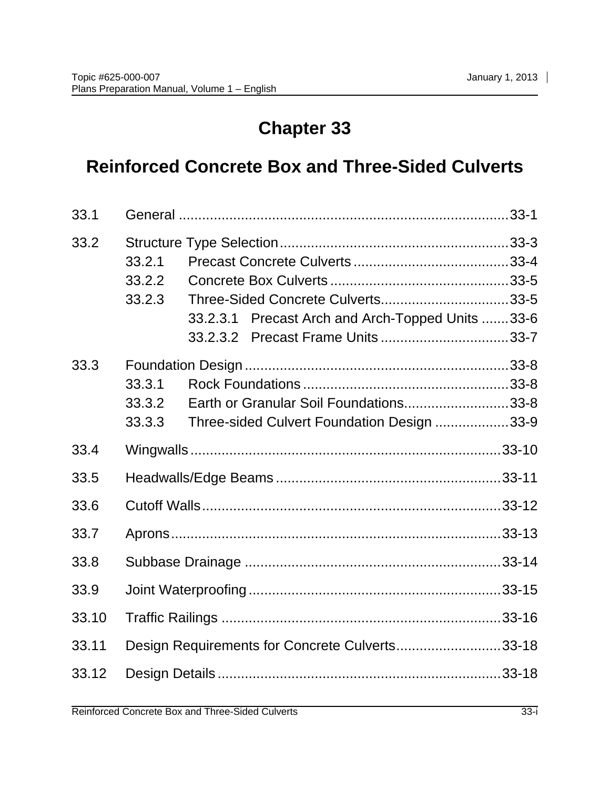# **Chapter 33**

# **Reinforced Concrete Box and Three-Sided Culverts**

| 33.1  |                                                                                                                        |  |  |
|-------|------------------------------------------------------------------------------------------------------------------------|--|--|
| 33.2  | 33.2.1<br>33.2.2<br>Three-Sided Concrete Culverts33-5<br>33.2.3<br>Precast Arch and Arch-Topped Units 33-6<br>33.2.3.1 |  |  |
| 33.3  | 33.3.1<br>Earth or Granular Soil Foundations33-8<br>33.3.2<br>33.3.3<br>Three-sided Culvert Foundation Design 33-9     |  |  |
| 33.4  |                                                                                                                        |  |  |
| 33.5  |                                                                                                                        |  |  |
| 33.6  |                                                                                                                        |  |  |
| 33.7  |                                                                                                                        |  |  |
| 33.8  |                                                                                                                        |  |  |
| 33.9  |                                                                                                                        |  |  |
| 33.10 |                                                                                                                        |  |  |
| 33.11 | Design Requirements for Concrete Culverts33-18                                                                         |  |  |
| 33.12 |                                                                                                                        |  |  |
|       |                                                                                                                        |  |  |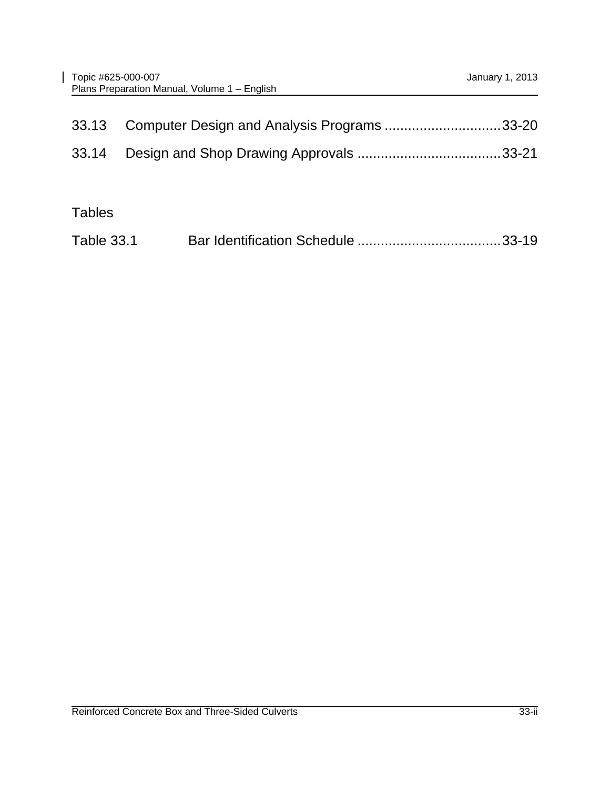|               | 33.13 Computer Design and Analysis Programs 33-20 |  |
|---------------|---------------------------------------------------|--|
|               |                                                   |  |
|               |                                                   |  |
| <b>Tables</b> |                                                   |  |

| <b>Table 33.1</b> |  |  |
|-------------------|--|--|
|                   |  |  |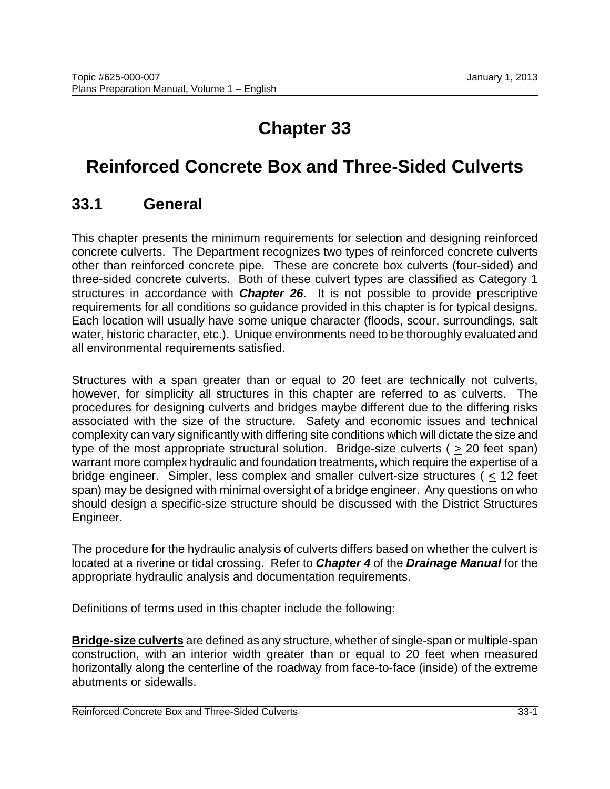# **Chapter 33**

# **Reinforced Concrete Box and Three-Sided Culverts**

#### <span id="page-2-0"></span>**33.1 General**

This chapter presents the minimum requirements for selection and designing reinforced concrete culverts. The Department recognizes two types of reinforced concrete culverts other than reinforced concrete pipe. These are concrete box culverts (four-sided) and three-sided concrete culverts. Both of these culvert types are classified as Category 1 structures in accordance with *Chapter 26*. It is not possible to provide prescriptive requirements for all conditions so guidance provided in this chapter is for typical designs. Each location will usually have some unique character (floods, scour, surroundings, salt water, historic character, etc.). Unique environments need to be thoroughly evaluated and all environmental requirements satisfied.

Structures with a span greater than or equal to 20 feet are technically not culverts, however, for simplicity all structures in this chapter are referred to as culverts. The procedures for designing culverts and bridges maybe different due to the differing risks associated with the size of the structure. Safety and economic issues and technical complexity can vary significantly with differing site conditions which will dictate the size and type of the most appropriate structural solution. Bridge-size culverts ( $\geq 20$  feet span) warrant more complex hydraulic and foundation treatments, which require the expertise of a bridge engineer. Simpler, less complex and smaller culvert-size structures ( $\leq 12$  feet span) may be designed with minimal oversight of a bridge engineer. Any questions on who should design a specific-size structure should be discussed with the District Structures Engineer.

The procedure for the hydraulic analysis of culverts differs based on whether the culvert is located at a riverine or tidal crossing. Refer to *Chapter 4* of the *Drainage Manual* for the appropriate hydraulic analysis and documentation requirements.

Definitions of terms used in this chapter include the following:

**Bridge-size culverts** are defined as any structure, whether of single-span or multiple-span construction, with an interior width greater than or equal to 20 feet when measured horizontally along the centerline of the roadway from face-to-face (inside) of the extreme abutments or sidewalls.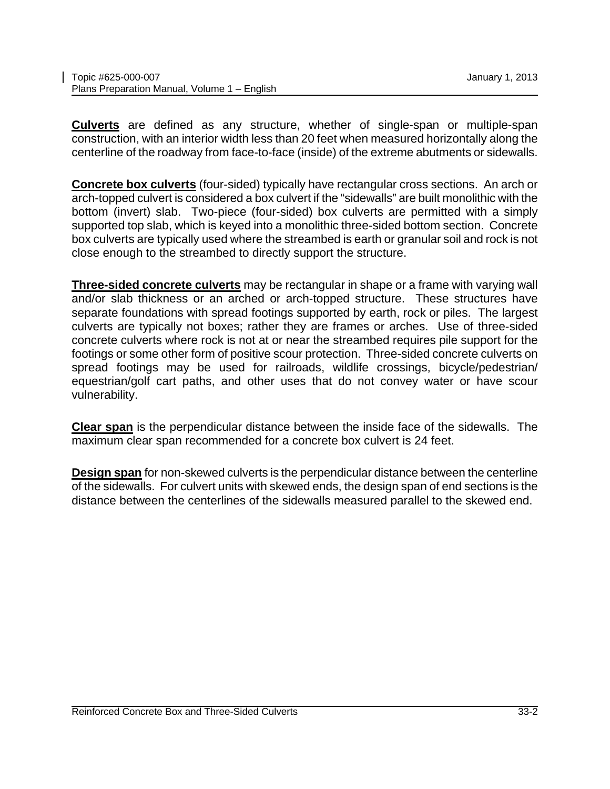**Culverts** are defined as any structure, whether of single-span or multiple-span construction, with an interior width less than 20 feet when measured horizontally along the centerline of the roadway from face-to-face (inside) of the extreme abutments or sidewalls.

**Concrete box culverts** (four-sided) typically have rectangular cross sections. An arch or arch-topped culvert is considered a box culvert if the "sidewalls" are built monolithic with the bottom (invert) slab. Two-piece (four-sided) box culverts are permitted with a simply supported top slab, which is keyed into a monolithic three-sided bottom section. Concrete box culverts are typically used where the streambed is earth or granular soil and rock is not close enough to the streambed to directly support the structure.

**Three-sided concrete culverts** may be rectangular in shape or a frame with varying wall and/or slab thickness or an arched or arch-topped structure. These structures have separate foundations with spread footings supported by earth, rock or piles. The largest culverts are typically not boxes; rather they are frames or arches. Use of three-sided concrete culverts where rock is not at or near the streambed requires pile support for the footings or some other form of positive scour protection. Three-sided concrete culverts on spread footings may be used for railroads, wildlife crossings, bicycle/pedestrian/ equestrian/golf cart paths, and other uses that do not convey water or have scour vulnerability.

**Clear span** is the perpendicular distance between the inside face of the sidewalls. The maximum clear span recommended for a concrete box culvert is 24 feet.

**Design span** for non-skewed culverts is the perpendicular distance between the centerline of the sidewalls. For culvert units with skewed ends, the design span of end sections is the distance between the centerlines of the sidewalls measured parallel to the skewed end.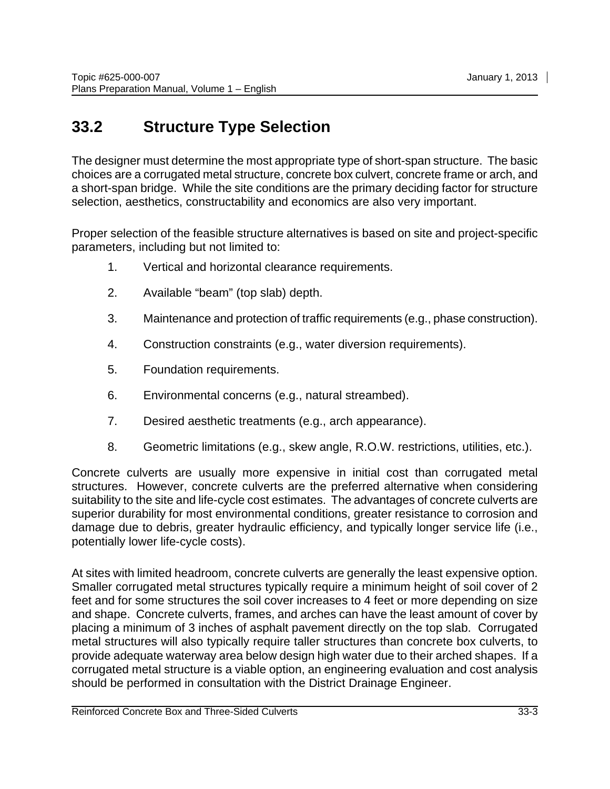# <span id="page-4-0"></span>**33.2 Structure Type Selection**

The designer must determine the most appropriate type of short-span structure. The basic choices are a corrugated metal structure, concrete box culvert, concrete frame or arch, and a short-span bridge. While the site conditions are the primary deciding factor for structure selection, aesthetics, constructability and economics are also very important.

Proper selection of the feasible structure alternatives is based on site and project-specific parameters, including but not limited to:

- 1. Vertical and horizontal clearance requirements.
- 2. Available "beam" (top slab) depth.
- 3. Maintenance and protection of traffic requirements (e.g., phase construction).
- 4. Construction constraints (e.g., water diversion requirements).
- 5. Foundation requirements.
- 6. Environmental concerns (e.g., natural streambed).
- 7. Desired aesthetic treatments (e.g., arch appearance).
- 8. Geometric limitations (e.g., skew angle, R.O.W. restrictions, utilities, etc.).

Concrete culverts are usually more expensive in initial cost than corrugated metal structures. However, concrete culverts are the preferred alternative when considering suitability to the site and life-cycle cost estimates. The advantages of concrete culverts are superior durability for most environmental conditions, greater resistance to corrosion and damage due to debris, greater hydraulic efficiency, and typically longer service life (i.e., potentially lower life-cycle costs).

At sites with limited headroom, concrete culverts are generally the least expensive option. Smaller corrugated metal structures typically require a minimum height of soil cover of 2 feet and for some structures the soil cover increases to 4 feet or more depending on size and shape. Concrete culverts, frames, and arches can have the least amount of cover by placing a minimum of 3 inches of asphalt pavement directly on the top slab. Corrugated metal structures will also typically require taller structures than concrete box culverts, to provide adequate waterway area below design high water due to their arched shapes. If a corrugated metal structure is a viable option, an engineering evaluation and cost analysis should be performed in consultation with the District Drainage Engineer.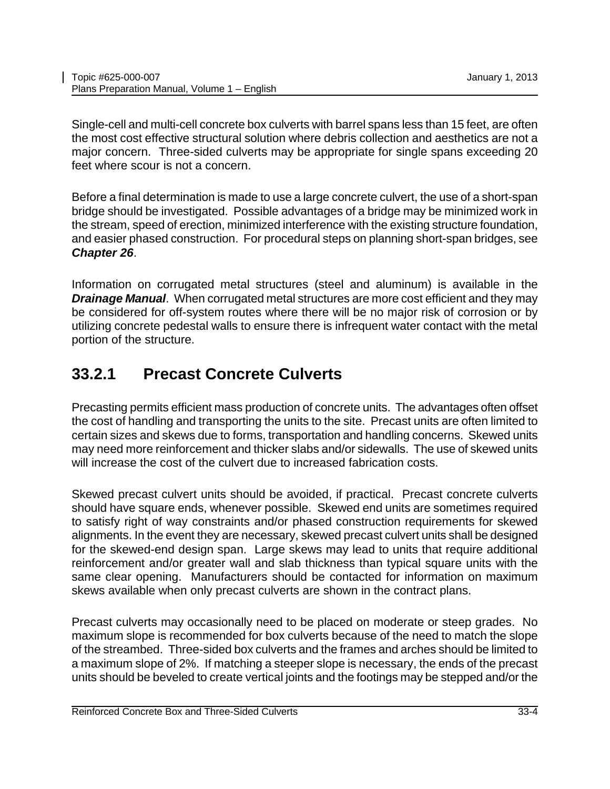Single-cell and multi-cell concrete box culverts with barrel spans less than 15 feet, are often the most cost effective structural solution where debris collection and aesthetics are not a major concern. Three-sided culverts may be appropriate for single spans exceeding 20 feet where scour is not a concern.

Before a final determination is made to use a large concrete culvert, the use of a short-span bridge should be investigated. Possible advantages of a bridge may be minimized work in the stream, speed of erection, minimized interference with the existing structure foundation, and easier phased construction. For procedural steps on planning short-span bridges, see *Chapter 26*.

Information on corrugated metal structures (steel and aluminum) is available in the *Drainage Manual*. When corrugated metal structures are more cost efficient and they may be considered for off-system routes where there will be no major risk of corrosion or by utilizing concrete pedestal walls to ensure there is infrequent water contact with the metal portion of the structure.

# <span id="page-5-0"></span>**33.2.1 Precast Concrete Culverts**

Precasting permits efficient mass production of concrete units. The advantages often offset the cost of handling and transporting the units to the site. Precast units are often limited to certain sizes and skews due to forms, transportation and handling concerns. Skewed units may need more reinforcement and thicker slabs and/or sidewalls. The use of skewed units will increase the cost of the culvert due to increased fabrication costs.

Skewed precast culvert units should be avoided, if practical. Precast concrete culverts should have square ends, whenever possible. Skewed end units are sometimes required to satisfy right of way constraints and/or phased construction requirements for skewed alignments. In the event they are necessary, skewed precast culvert units shall be designed for the skewed-end design span. Large skews may lead to units that require additional reinforcement and/or greater wall and slab thickness than typical square units with the same clear opening. Manufacturers should be contacted for information on maximum skews available when only precast culverts are shown in the contract plans.

Precast culverts may occasionally need to be placed on moderate or steep grades. No maximum slope is recommended for box culverts because of the need to match the slope of the streambed. Three-sided box culverts and the frames and arches should be limited to a maximum slope of 2%. If matching a steeper slope is necessary, the ends of the precast units should be beveled to create vertical joints and the footings may be stepped and/or the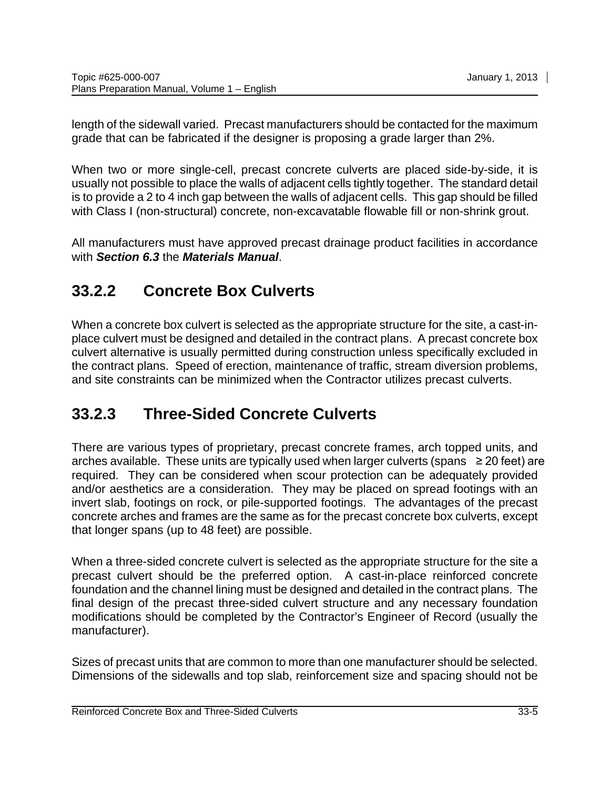length of the sidewall varied. Precast manufacturers should be contacted for the maximum grade that can be fabricated if the designer is proposing a grade larger than 2%.

When two or more single-cell, precast concrete culverts are placed side-by-side, it is usually not possible to place the walls of adjacent cells tightly together. The standard detail is to provide a 2 to 4 inch gap between the walls of adjacent cells. This gap should be filled with Class I (non-structural) concrete, non-excavatable flowable fill or non-shrink grout.

All manufacturers must have approved precast drainage product facilities in accordance with *Section 6.3* the *Materials Manual*.

### <span id="page-6-0"></span>**33.2.2 Concrete Box Culverts**

When a concrete box culvert is selected as the appropriate structure for the site, a cast-inplace culvert must be designed and detailed in the contract plans. A precast concrete box culvert alternative is usually permitted during construction unless specifically excluded in the contract plans. Speed of erection, maintenance of traffic, stream diversion problems, and site constraints can be minimized when the Contractor utilizes precast culverts.

### <span id="page-6-1"></span>**33.2.3 Three-Sided Concrete Culverts**

There are various types of proprietary, precast concrete frames, arch topped units, and arches available. These units are typically used when larger culverts (spans  $\geq$  20 feet) are required. They can be considered when scour protection can be adequately provided and/or aesthetics are a consideration. They may be placed on spread footings with an invert slab, footings on rock, or pile-supported footings. The advantages of the precast concrete arches and frames are the same as for the precast concrete box culverts, except that longer spans (up to 48 feet) are possible.

When a three-sided concrete culvert is selected as the appropriate structure for the site a precast culvert should be the preferred option. A cast-in-place reinforced concrete foundation and the channel lining must be designed and detailed in the contract plans. The final design of the precast three-sided culvert structure and any necessary foundation modifications should be completed by the Contractor's Engineer of Record (usually the manufacturer).

Sizes of precast units that are common to more than one manufacturer should be selected. Dimensions of the sidewalls and top slab, reinforcement size and spacing should not be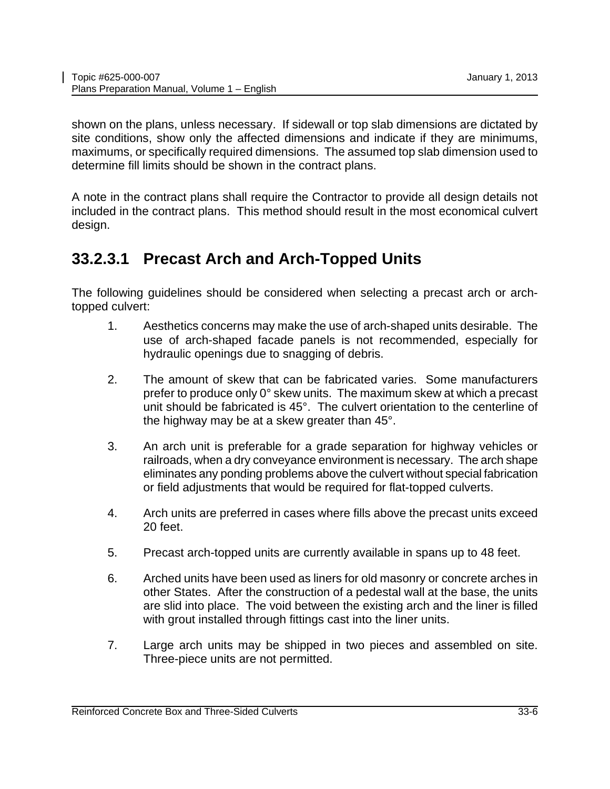shown on the plans, unless necessary. If sidewall or top slab dimensions are dictated by site conditions, show only the affected dimensions and indicate if they are minimums, maximums, or specifically required dimensions. The assumed top slab dimension used to determine fill limits should be shown in the contract plans.

A note in the contract plans shall require the Contractor to provide all design details not included in the contract plans. This method should result in the most economical culvert design.

#### <span id="page-7-0"></span>**33.2.3.1 Precast Arch and Arch-Topped Units**

The following guidelines should be considered when selecting a precast arch or archtopped culvert:

- 1. Aesthetics concerns may make the use of arch-shaped units desirable. The use of arch-shaped facade panels is not recommended, especially for hydraulic openings due to snagging of debris.
- 2. The amount of skew that can be fabricated varies. Some manufacturers prefer to produce only 0° skew units. The maximum skew at which a precast unit should be fabricated is 45°. The culvert orientation to the centerline of the highway may be at a skew greater than 45°.
- 3. An arch unit is preferable for a grade separation for highway vehicles or railroads, when a dry conveyance environment is necessary. The arch shape eliminates any ponding problems above the culvert without special fabrication or field adjustments that would be required for flat-topped culverts.
- 4. Arch units are preferred in cases where fills above the precast units exceed 20 feet.
- 5. Precast arch-topped units are currently available in spans up to 48 feet.
- 6. Arched units have been used as liners for old masonry or concrete arches in other States. After the construction of a pedestal wall at the base, the units are slid into place. The void between the existing arch and the liner is filled with grout installed through fittings cast into the liner units.
- <span id="page-7-1"></span>7. Large arch units may be shipped in two pieces and assembled on site. Three-piece units are not permitted.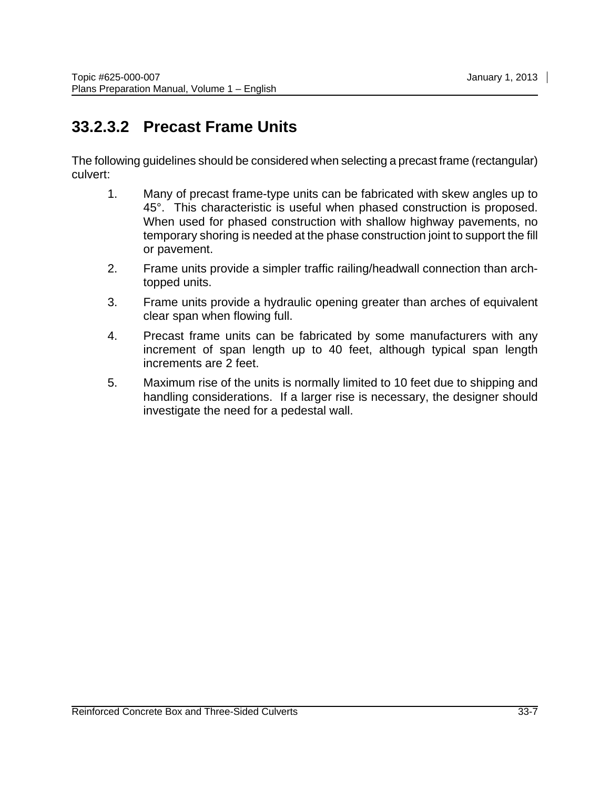### **33.2.3.2 Precast Frame Units**

The following guidelines should be considered when selecting a precast frame (rectangular) culvert:

- 1. Many of precast frame-type units can be fabricated with skew angles up to 45°. This characteristic is useful when phased construction is proposed. When used for phased construction with shallow highway pavements, no temporary shoring is needed at the phase construction joint to support the fill or pavement.
- 2. Frame units provide a simpler traffic railing/headwall connection than archtopped units.
- 3. Frame units provide a hydraulic opening greater than arches of equivalent clear span when flowing full.
- 4. Precast frame units can be fabricated by some manufacturers with any increment of span length up to 40 feet, although typical span length increments are 2 feet.
- 5. Maximum rise of the units is normally limited to 10 feet due to shipping and handling considerations. If a larger rise is necessary, the designer should investigate the need for a pedestal wall.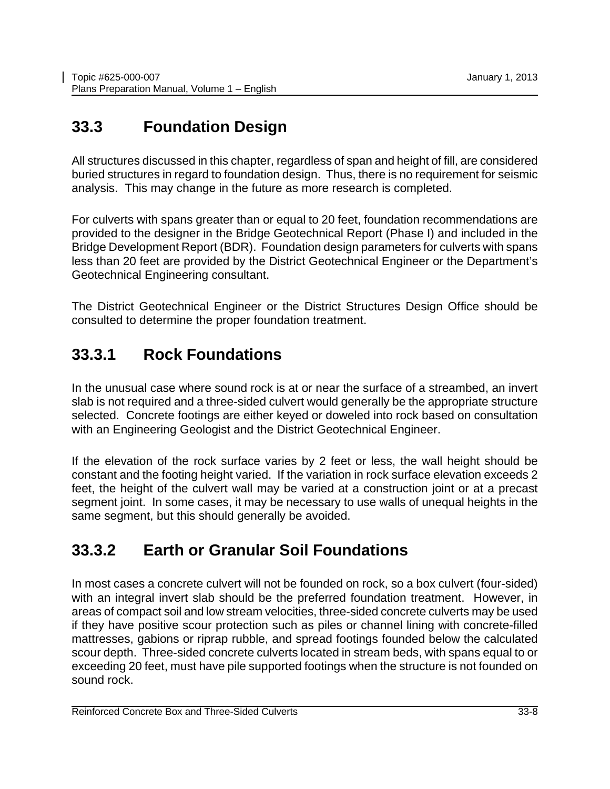# <span id="page-9-0"></span>**33.3 Foundation Design**

All structures discussed in this chapter, regardless of span and height of fill, are considered buried structures in regard to foundation design. Thus, there is no requirement for seismic analysis. This may change in the future as more research is completed.

For culverts with spans greater than or equal to 20 feet, foundation recommendations are provided to the designer in the Bridge Geotechnical Report (Phase I) and included in the Bridge Development Report (BDR). Foundation design parameters for culverts with spans less than 20 feet are provided by the District Geotechnical Engineer or the Department's Geotechnical Engineering consultant.

The District Geotechnical Engineer or the District Structures Design Office should be consulted to determine the proper foundation treatment.

#### <span id="page-9-1"></span>**33.3.1 Rock Foundations**

In the unusual case where sound rock is at or near the surface of a streambed, an invert slab is not required and a three-sided culvert would generally be the appropriate structure selected. Concrete footings are either keyed or doweled into rock based on consultation with an Engineering Geologist and the District Geotechnical Engineer.

If the elevation of the rock surface varies by 2 feet or less, the wall height should be constant and the footing height varied. If the variation in rock surface elevation exceeds 2 feet, the height of the culvert wall may be varied at a construction joint or at a precast segment joint. In some cases, it may be necessary to use walls of unequal heights in the same segment, but this should generally be avoided.

#### <span id="page-9-2"></span>**33.3.2 Earth or Granular Soil Foundations**

In most cases a concrete culvert will not be founded on rock, so a box culvert (four-sided) with an integral invert slab should be the preferred foundation treatment. However, in areas of compact soil and low stream velocities, three-sided concrete culverts may be used if they have positive scour protection such as piles or channel lining with concrete-filled mattresses, gabions or riprap rubble, and spread footings founded below the calculated scour depth. Three-sided concrete culverts located in stream beds, with spans equal to or exceeding 20 feet, must have pile supported footings when the structure is not founded on sound rock.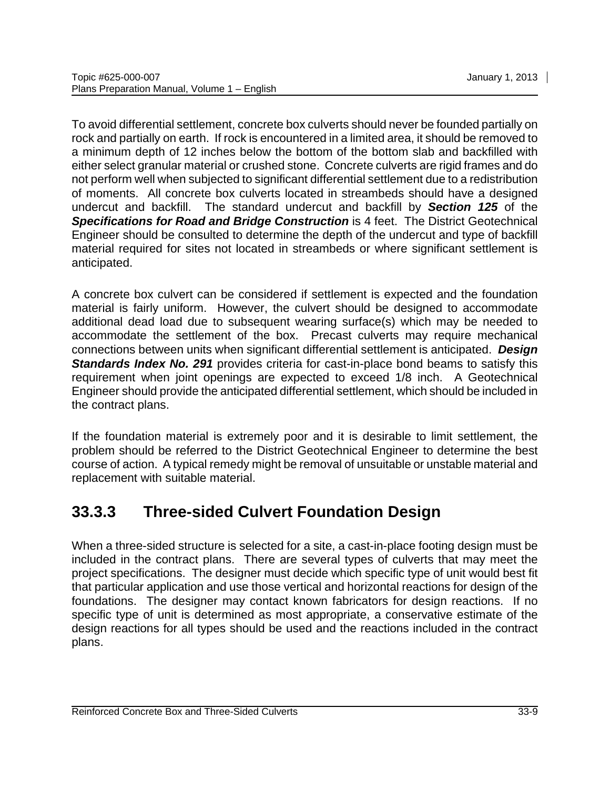To avoid differential settlement, concrete box culverts should never be founded partially on rock and partially on earth. If rock is encountered in a limited area, it should be removed to a minimum depth of 12 inches below the bottom of the bottom slab and backfilled with either select granular material or crushed stone. Concrete culverts are rigid frames and do not perform well when subjected to significant differential settlement due to a redistribution of moments. All concrete box culverts located in streambeds should have a designed undercut and backfill. The standard undercut and backfill by *Section 125* of the **Specifications for Road and Bridge Construction** is 4 feet. The District Geotechnical Engineer should be consulted to determine the depth of the undercut and type of backfill material required for sites not located in streambeds or where significant settlement is anticipated.

A concrete box culvert can be considered if settlement is expected and the foundation material is fairly uniform. However, the culvert should be designed to accommodate additional dead load due to subsequent wearing surface(s) which may be needed to accommodate the settlement of the box. Precast culverts may require mechanical connections between units when significant differential settlement is anticipated. *Design*  **Standards Index No. 291** provides criteria for cast-in-place bond beams to satisfy this requirement when joint openings are expected to exceed 1/8 inch. A Geotechnical Engineer should provide the anticipated differential settlement, which should be included in the contract plans.

If the foundation material is extremely poor and it is desirable to limit settlement, the problem should be referred to the District Geotechnical Engineer to determine the best course of action. A typical remedy might be removal of unsuitable or unstable material and replacement with suitable material.

### <span id="page-10-0"></span>**33.3.3 Three-sided Culvert Foundation Design**

When a three-sided structure is selected for a site, a cast-in-place footing design must be included in the contract plans. There are several types of culverts that may meet the project specifications. The designer must decide which specific type of unit would best fit that particular application and use those vertical and horizontal reactions for design of the foundations. The designer may contact known fabricators for design reactions. If no specific type of unit is determined as most appropriate, a conservative estimate of the design reactions for all types should be used and the reactions included in the contract plans.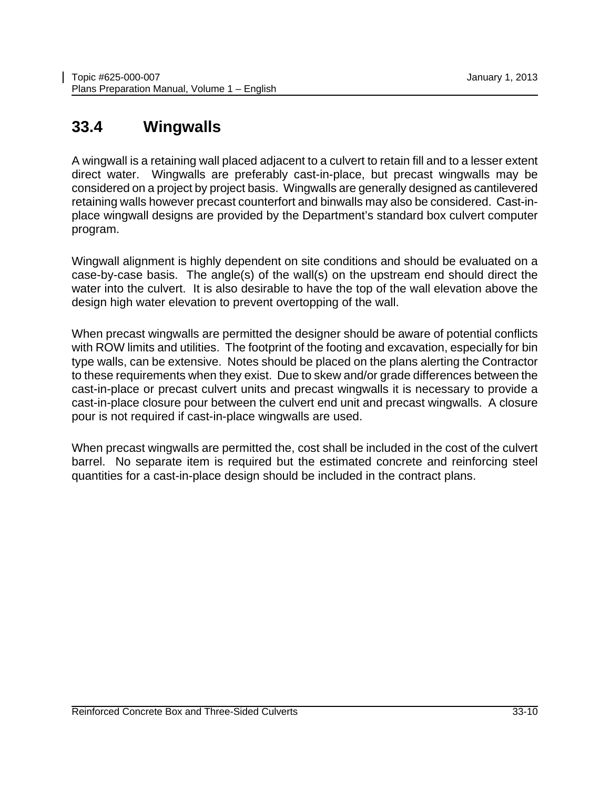#### <span id="page-11-0"></span>**33.4 Wingwalls**

A wingwall is a retaining wall placed adjacent to a culvert to retain fill and to a lesser extent direct water. Wingwalls are preferably cast-in-place, but precast wingwalls may be considered on a project by project basis. Wingwalls are generally designed as cantilevered retaining walls however precast counterfort and binwalls may also be considered. Cast-inplace wingwall designs are provided by the Department's standard box culvert computer program.

Wingwall alignment is highly dependent on site conditions and should be evaluated on a case-by-case basis. The angle(s) of the wall(s) on the upstream end should direct the water into the culvert. It is also desirable to have the top of the wall elevation above the design high water elevation to prevent overtopping of the wall.

When precast wingwalls are permitted the designer should be aware of potential conflicts with ROW limits and utilities. The footprint of the footing and excavation, especially for bin type walls, can be extensive. Notes should be placed on the plans alerting the Contractor to these requirements when they exist. Due to skew and/or grade differences between the cast-in-place or precast culvert units and precast wingwalls it is necessary to provide a cast-in-place closure pour between the culvert end unit and precast wingwalls. A closure pour is not required if cast-in-place wingwalls are used.

When precast wingwalls are permitted the, cost shall be included in the cost of the culvert barrel. No separate item is required but the estimated concrete and reinforcing steel quantities for a cast-in-place design should be included in the contract plans.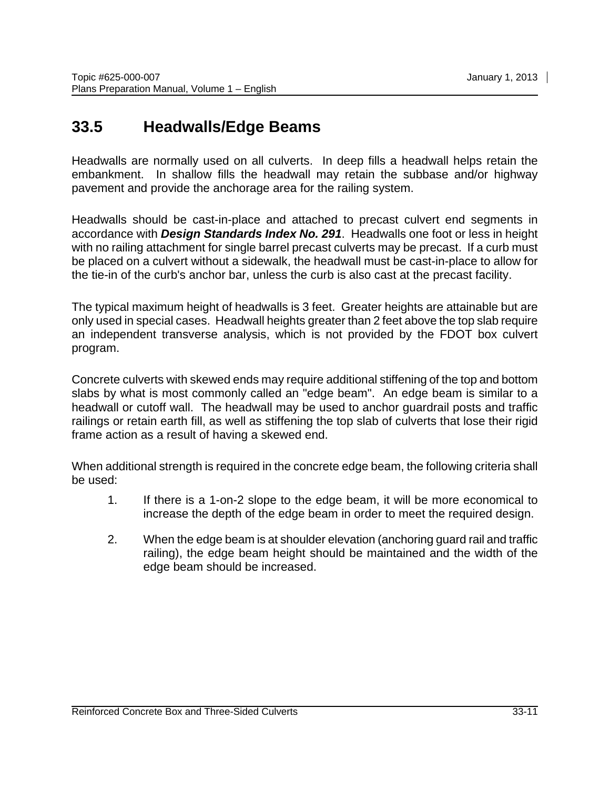### <span id="page-12-0"></span>**33.5 Headwalls/Edge Beams**

Headwalls are normally used on all culverts. In deep fills a headwall helps retain the embankment. In shallow fills the headwall may retain the subbase and/or highway pavement and provide the anchorage area for the railing system.

Headwalls should be cast-in-place and attached to precast culvert end segments in accordance with *Design Standards Index No. 291*. Headwalls one foot or less in height with no railing attachment for single barrel precast culverts may be precast. If a curb must be placed on a culvert without a sidewalk, the headwall must be cast-in-place to allow for the tie-in of the curb's anchor bar, unless the curb is also cast at the precast facility.

The typical maximum height of headwalls is 3 feet. Greater heights are attainable but are only used in special cases. Headwall heights greater than 2 feet above the top slab require an independent transverse analysis, which is not provided by the FDOT box culvert program.

Concrete culverts with skewed ends may require additional stiffening of the top and bottom slabs by what is most commonly called an "edge beam". An edge beam is similar to a headwall or cutoff wall. The headwall may be used to anchor guardrail posts and traffic railings or retain earth fill, as well as stiffening the top slab of culverts that lose their rigid frame action as a result of having a skewed end.

When additional strength is required in the concrete edge beam, the following criteria shall be used:

- 1. If there is a 1-on-2 slope to the edge beam, it will be more economical to increase the depth of the edge beam in order to meet the required design.
- 2. When the edge beam is at shoulder elevation (anchoring guard rail and traffic railing), the edge beam height should be maintained and the width of the edge beam should be increased.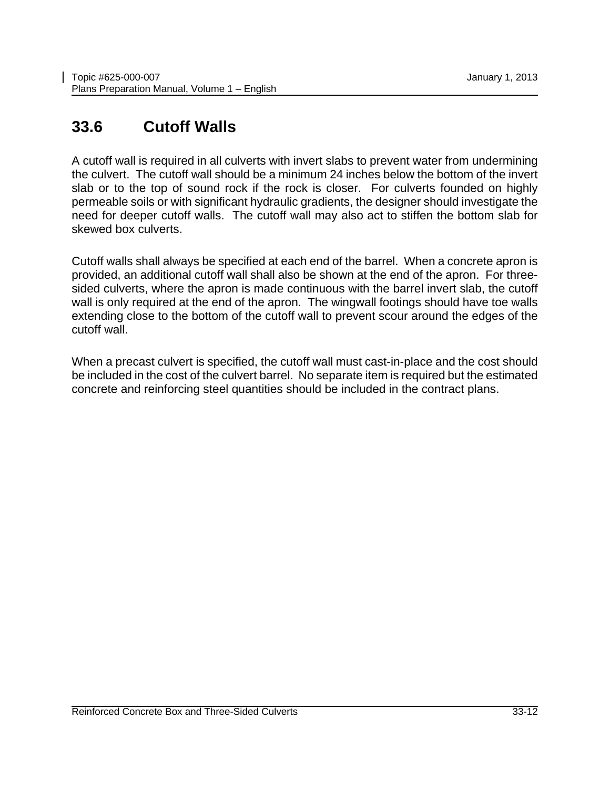# <span id="page-13-0"></span>**33.6 Cutoff Walls**

A cutoff wall is required in all culverts with invert slabs to prevent water from undermining the culvert. The cutoff wall should be a minimum 24 inches below the bottom of the invert slab or to the top of sound rock if the rock is closer. For culverts founded on highly permeable soils or with significant hydraulic gradients, the designer should investigate the need for deeper cutoff walls. The cutoff wall may also act to stiffen the bottom slab for skewed box culverts.

Cutoff walls shall always be specified at each end of the barrel. When a concrete apron is provided, an additional cutoff wall shall also be shown at the end of the apron. For threesided culverts, where the apron is made continuous with the barrel invert slab, the cutoff wall is only required at the end of the apron. The wingwall footings should have toe walls extending close to the bottom of the cutoff wall to prevent scour around the edges of the cutoff wall.

When a precast culvert is specified, the cutoff wall must cast-in-place and the cost should be included in the cost of the culvert barrel. No separate item is required but the estimated concrete and reinforcing steel quantities should be included in the contract plans.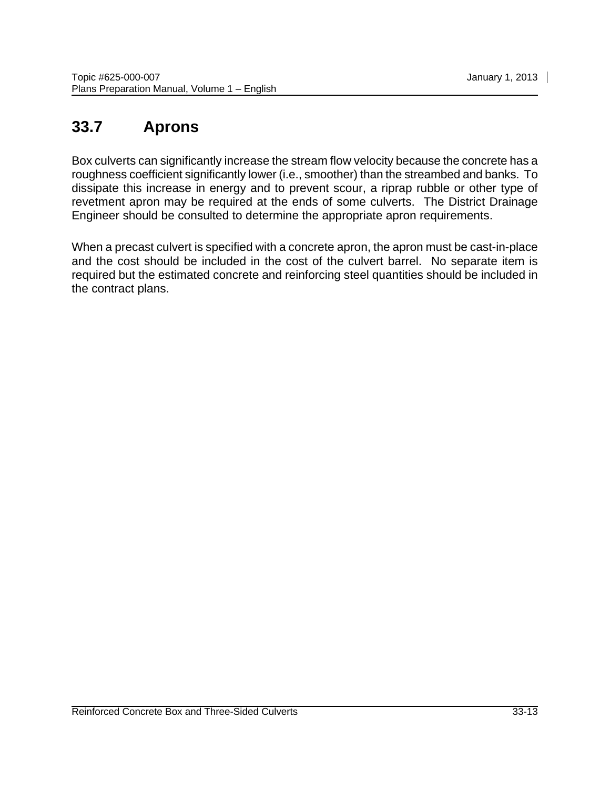# <span id="page-14-0"></span>**33.7 Aprons**

Box culverts can significantly increase the stream flow velocity because the concrete has a roughness coefficient significantly lower (i.e., smoother) than the streambed and banks. To dissipate this increase in energy and to prevent scour, a riprap rubble or other type of revetment apron may be required at the ends of some culverts. The District Drainage Engineer should be consulted to determine the appropriate apron requirements.

When a precast culvert is specified with a concrete apron, the apron must be cast-in-place and the cost should be included in the cost of the culvert barrel. No separate item is required but the estimated concrete and reinforcing steel quantities should be included in the contract plans.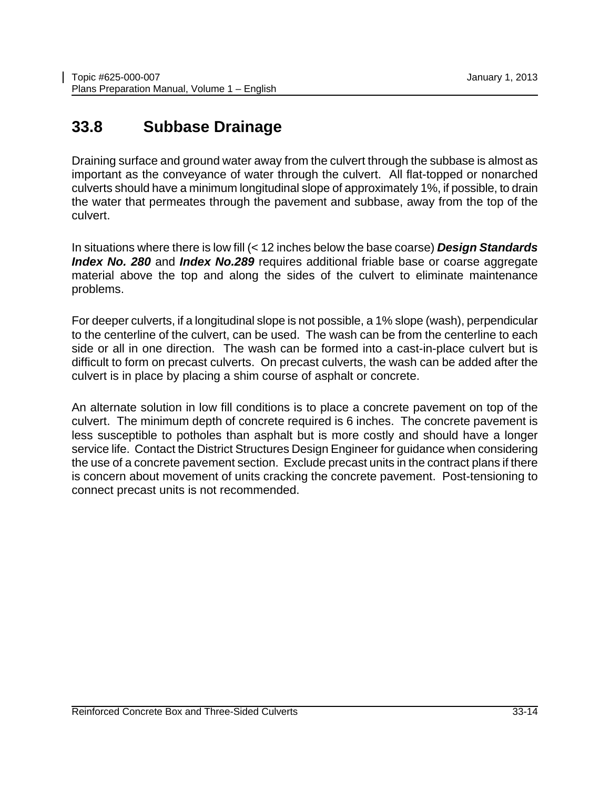#### <span id="page-15-0"></span>**33.8 Subbase Drainage**

Draining surface and ground water away from the culvert through the subbase is almost as important as the conveyance of water through the culvert. All flat-topped or nonarched culverts should have a minimum longitudinal slope of approximately 1%, if possible, to drain the water that permeates through the pavement and subbase, away from the top of the culvert.

In situations where there is low fill (< 12 inches below the base coarse) *Design Standards Index No. 280* and *Index No.289* requires additional friable base or coarse aggregate material above the top and along the sides of the culvert to eliminate maintenance problems.

For deeper culverts, if a longitudinal slope is not possible, a 1% slope (wash), perpendicular to the centerline of the culvert, can be used. The wash can be from the centerline to each side or all in one direction. The wash can be formed into a cast-in-place culvert but is difficult to form on precast culverts. On precast culverts, the wash can be added after the culvert is in place by placing a shim course of asphalt or concrete.

An alternate solution in low fill conditions is to place a concrete pavement on top of the culvert. The minimum depth of concrete required is 6 inches. The concrete pavement is less susceptible to potholes than asphalt but is more costly and should have a longer service life. Contact the District Structures Design Engineer for guidance when considering the use of a concrete pavement section. Exclude precast units in the contract plans if there is concern about movement of units cracking the concrete pavement. Post-tensioning to connect precast units is not recommended.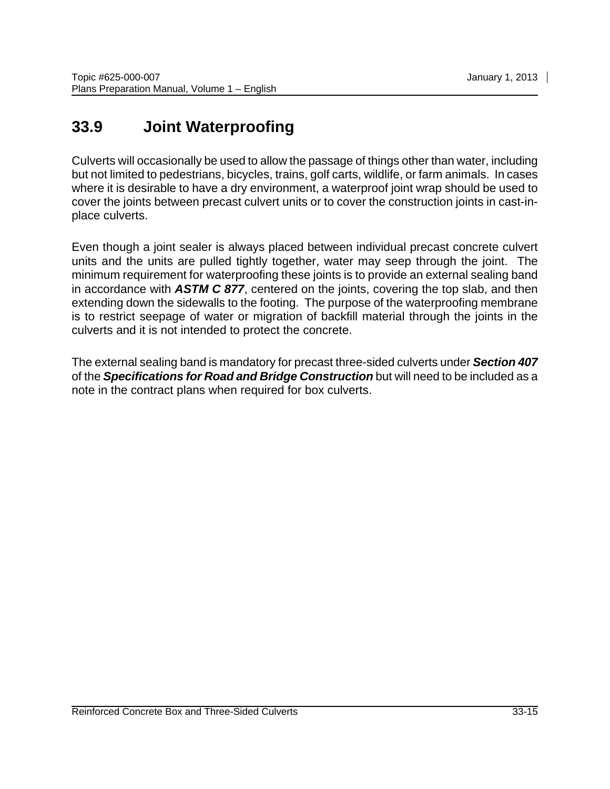# <span id="page-16-0"></span>**33.9 Joint Waterproofing**

Culverts will occasionally be used to allow the passage of things other than water, including but not limited to pedestrians, bicycles, trains, golf carts, wildlife, or farm animals. In cases where it is desirable to have a dry environment, a waterproof joint wrap should be used to cover the joints between precast culvert units or to cover the construction joints in cast-inplace culverts.

Even though a joint sealer is always placed between individual precast concrete culvert units and the units are pulled tightly together, water may seep through the joint. The minimum requirement for waterproofing these joints is to provide an external sealing band in accordance with *ASTM C 877*, centered on the joints, covering the top slab, and then extending down the sidewalls to the footing. The purpose of the waterproofing membrane is to restrict seepage of water or migration of backfill material through the joints in the culverts and it is not intended to protect the concrete.

The external sealing band is mandatory for precast three-sided culverts under *Section 407* of the *Specifications for Road and Bridge Construction* but will need to be included as a note in the contract plans when required for box culverts.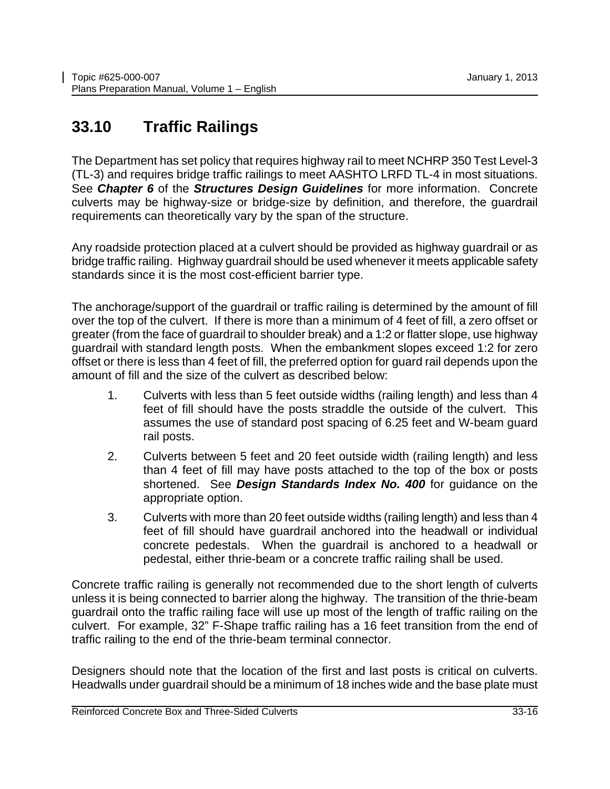# <span id="page-17-0"></span>**33.10 Traffic Railings**

The Department has set policy that requires highway rail to meet NCHRP 350 Test Level-3 (TL-3) and requires bridge traffic railings to meet AASHTO LRFD TL-4 in most situations. See *Chapter 6* of the *Structures Design Guidelines* for more information. Concrete culverts may be highway-size or bridge-size by definition, and therefore, the guardrail requirements can theoretically vary by the span of the structure.

Any roadside protection placed at a culvert should be provided as highway guardrail or as bridge traffic railing. Highway guardrail should be used whenever it meets applicable safety standards since it is the most cost-efficient barrier type.

The anchorage/support of the guardrail or traffic railing is determined by the amount of fill over the top of the culvert. If there is more than a minimum of 4 feet of fill, a zero offset or greater (from the face of guardrail to shoulder break) and a 1:2 or flatter slope, use highway guardrail with standard length posts. When the embankment slopes exceed 1:2 for zero offset or there is less than 4 feet of fill, the preferred option for guard rail depends upon the amount of fill and the size of the culvert as described below:

- 1. Culverts with less than 5 feet outside widths (railing length) and less than 4 feet of fill should have the posts straddle the outside of the culvert. This assumes the use of standard post spacing of 6.25 feet and W-beam guard rail posts.
- 2. Culverts between 5 feet and 20 feet outside width (railing length) and less than 4 feet of fill may have posts attached to the top of the box or posts shortened. See *Design Standards Index No. 400* for guidance on the appropriate option.
- 3. Culverts with more than 20 feet outside widths (railing length) and less than 4 feet of fill should have guardrail anchored into the headwall or individual concrete pedestals. When the guardrail is anchored to a headwall or pedestal, either thrie-beam or a concrete traffic railing shall be used.

Concrete traffic railing is generally not recommended due to the short length of culverts unless it is being connected to barrier along the highway. The transition of the thrie-beam guardrail onto the traffic railing face will use up most of the length of traffic railing on the culvert. For example, 32" F-Shape traffic railing has a 16 feet transition from the end of traffic railing to the end of the thrie-beam terminal connector.

Designers should note that the location of the first and last posts is critical on culverts. Headwalls under guardrail should be a minimum of 18 inches wide and the base plate must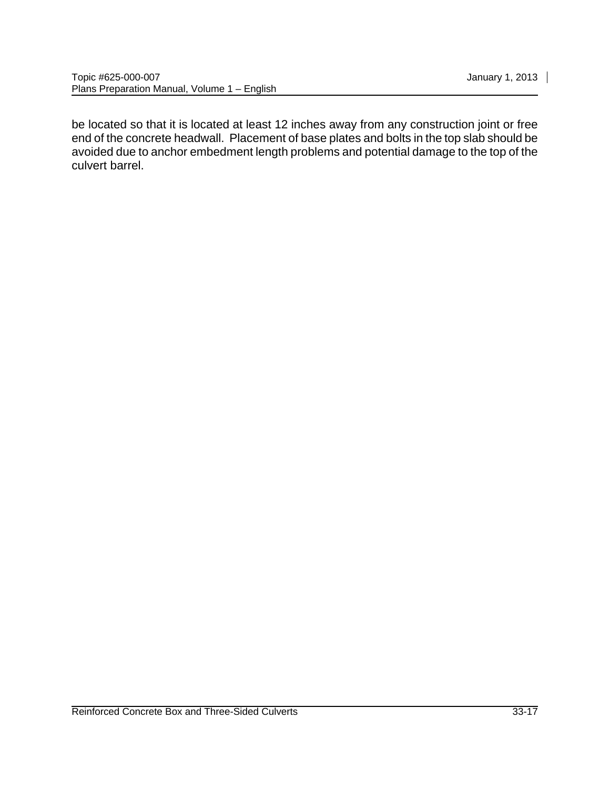be located so that it is located at least 12 inches away from any construction joint or free end of the concrete headwall. Placement of base plates and bolts in the top slab should be avoided due to anchor embedment length problems and potential damage to the top of the culvert barrel.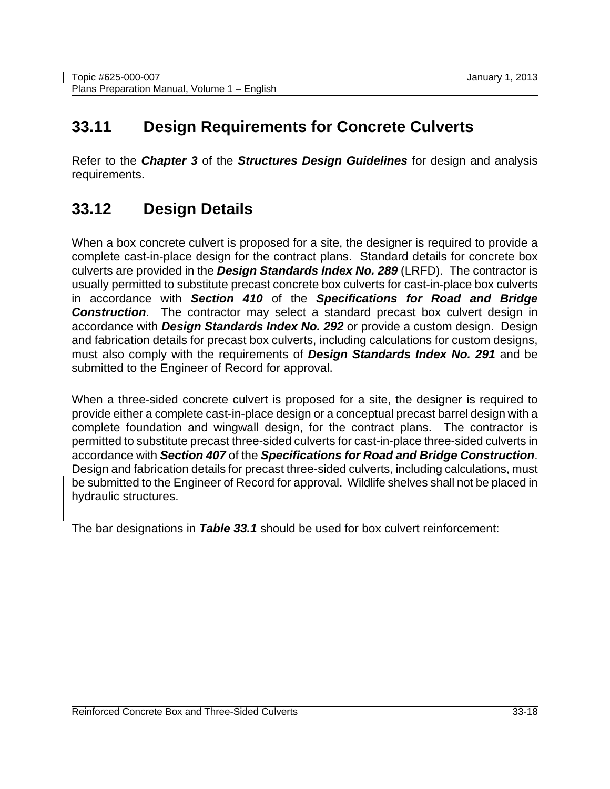#### <span id="page-19-0"></span>**33.11 Design Requirements for Concrete Culverts**

Refer to the *Chapter 3* of the *Structures Design Guidelines* for design and analysis requirements.

#### <span id="page-19-1"></span>**33.12 Design Details**

When a box concrete culvert is proposed for a site, the designer is required to provide a complete cast-in-place design for the contract plans. Standard details for concrete box culverts are provided in the *Design Standards Index No. 289* (LRFD). The contractor is usually permitted to substitute precast concrete box culverts for cast-in-place box culverts in accordance with *Section 410* of the *Specifications for Road and Bridge*  **Construction**. The contractor may select a standard precast box culvert design in accordance with *Design Standards Index No. 292* or provide a custom design. Design and fabrication details for precast box culverts, including calculations for custom designs, must also comply with the requirements of *Design Standards Index No. 291* and be submitted to the Engineer of Record for approval.

When a three-sided concrete culvert is proposed for a site, the designer is required to provide either a complete cast-in-place design or a conceptual precast barrel design with a complete foundation and wingwall design, for the contract plans. The contractor is permitted to substitute precast three-sided culverts for cast-in-place three-sided culverts in accordance with *Section 407* of the *Specifications for Road and Bridge Construction*. Design and fabrication details for precast three-sided culverts, including calculations, must be submitted to the Engineer of Record for approval. Wildlife shelves shall not be placed in hydraulic structures.

The bar designations in *Table 33.1* should be used for box culvert reinforcement: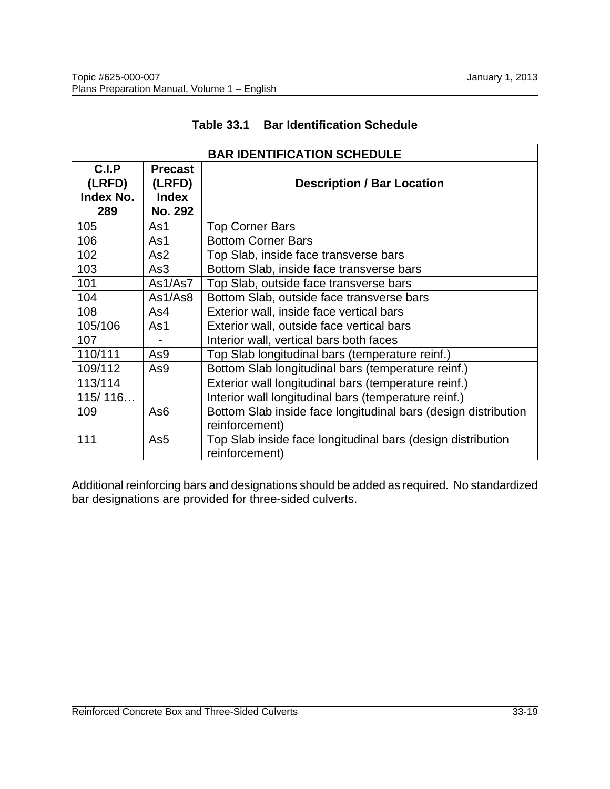<span id="page-20-0"></span>

| <b>BAR IDENTIFICATION SCHEDULE</b>  |                                                            |                                                                                  |  |  |
|-------------------------------------|------------------------------------------------------------|----------------------------------------------------------------------------------|--|--|
| C.I.P<br>(LRFD)<br>Index No.<br>289 | <b>Precast</b><br>(LRFD)<br><b>Index</b><br><b>No. 292</b> | <b>Description / Bar Location</b>                                                |  |  |
| 105                                 | As1                                                        | <b>Top Corner Bars</b>                                                           |  |  |
| 106                                 | As1                                                        | <b>Bottom Corner Bars</b>                                                        |  |  |
| 102                                 | As <sub>2</sub>                                            | Top Slab, inside face transverse bars                                            |  |  |
| 103                                 | As3                                                        | Bottom Slab, inside face transverse bars                                         |  |  |
| 101                                 | As1/As7                                                    | Top Slab, outside face transverse bars                                           |  |  |
| 104                                 | As1/As8                                                    | Bottom Slab, outside face transverse bars                                        |  |  |
| 108                                 | As4                                                        | Exterior wall, inside face vertical bars                                         |  |  |
| 105/106                             | As1                                                        | Exterior wall, outside face vertical bars                                        |  |  |
| 107                                 | $\overline{\phantom{a}}$                                   | Interior wall, vertical bars both faces                                          |  |  |
| 110/111                             | As9                                                        | Top Slab longitudinal bars (temperature reinf.)                                  |  |  |
| 109/112                             | As9                                                        | Bottom Slab longitudinal bars (temperature reinf.)                               |  |  |
| 113/114                             |                                                            | Exterior wall longitudinal bars (temperature reinf.)                             |  |  |
| 115/116                             |                                                            | Interior wall longitudinal bars (temperature reinf.)                             |  |  |
| 109                                 | As <sub>6</sub>                                            | Bottom Slab inside face longitudinal bars (design distribution<br>reinforcement) |  |  |
| 111                                 | As5                                                        | Top Slab inside face longitudinal bars (design distribution<br>reinforcement)    |  |  |

#### **Table 33.1 Bar Identification Schedule**

Additional reinforcing bars and designations should be added as required. No standardized bar designations are provided for three-sided culverts.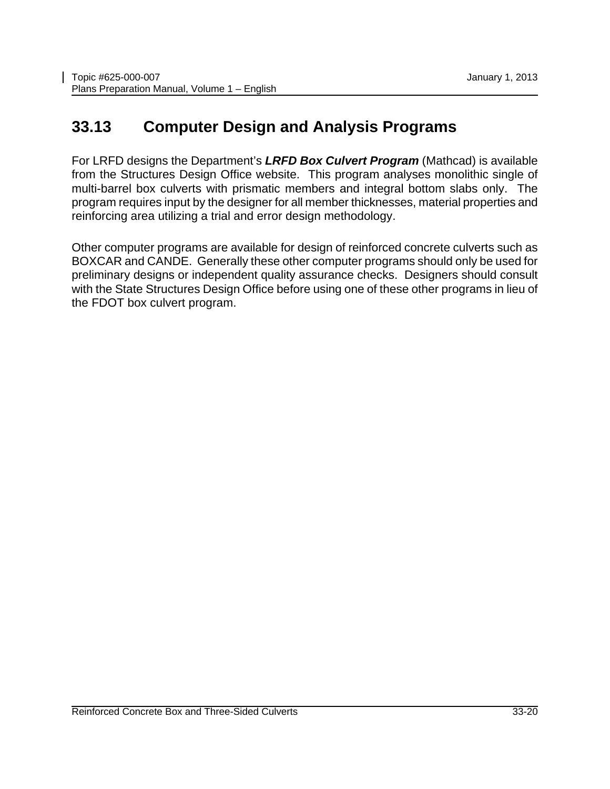### <span id="page-21-0"></span>**33.13 Computer Design and Analysis Programs**

For LRFD designs the Department's *LRFD Box Culvert Program* (Mathcad) is available from the Structures Design Office website. This program analyses monolithic single of multi-barrel box culverts with prismatic members and integral bottom slabs only. The program requires input by the designer for all member thicknesses, material properties and reinforcing area utilizing a trial and error design methodology.

Other computer programs are available for design of reinforced concrete culverts such as BOXCAR and CANDE. Generally these other computer programs should only be used for preliminary designs or independent quality assurance checks. Designers should consult with the State Structures Design Office before using one of these other programs in lieu of the FDOT box culvert program.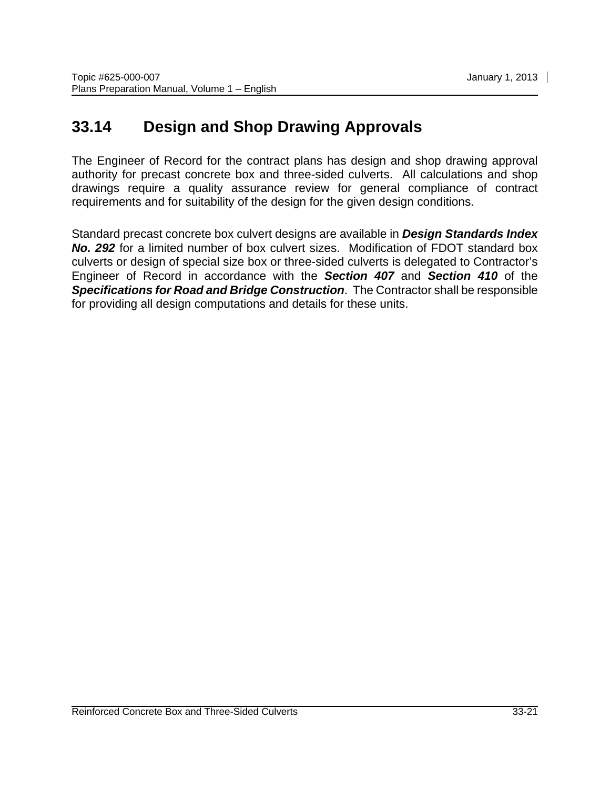#### <span id="page-22-0"></span>**33.14 Design and Shop Drawing Approvals**

The Engineer of Record for the contract plans has design and shop drawing approval authority for precast concrete box and three-sided culverts. All calculations and shop drawings require a quality assurance review for general compliance of contract requirements and for suitability of the design for the given design conditions.

Standard precast concrete box culvert designs are available in *Design Standards Index No. 292* for a limited number of box culvert sizes. Modification of FDOT standard box culverts or design of special size box or three-sided culverts is delegated to Contractor's Engineer of Record in accordance with the *Section 407* and *Section 410* of the *Specifications for Road and Bridge Construction*. The Contractor shall be responsible for providing all design computations and details for these units.